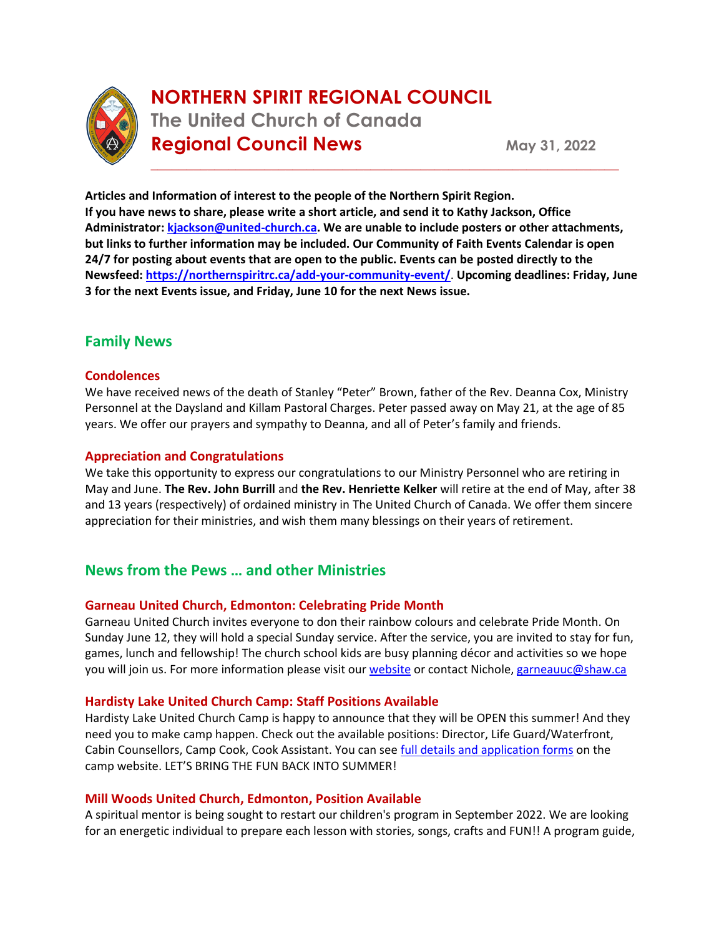

# **NORTHERN SPIRIT REGIONAL COUNCIL The United Church of Canada Regional Council News** May 31, 2022

**Articles and Information of interest to the people of the Northern Spirit Region. If you have news to share, please write a short article, and send it to Kathy Jackson, Office Administrator[: kjackson@united-church.ca.](mailto:kjackson@united-church.ca) We are unable to include posters or other attachments, but links to further information may be included. Our Community of Faith Events Calendar is open 24/7 for posting about events that are open to the public. Events can be posted directly to the Newsfeed: <https://northernspiritrc.ca/add-your-community-event/>**. **Upcoming deadlines: Friday, June 3 for the next Events issue, and Friday, June 10 for the next News issue.**

\_\_\_\_\_\_\_\_\_\_\_\_\_\_\_\_\_\_\_\_\_\_\_\_\_\_\_\_\_\_\_\_\_\_\_\_\_\_\_\_\_\_\_\_\_\_\_\_\_\_\_\_\_\_\_\_\_\_\_\_\_\_\_\_\_\_

## **Family News**

## **Condolences**

We have received news of the death of Stanley "Peter" Brown, father of the Rev. Deanna Cox, Ministry Personnel at the Daysland and Killam Pastoral Charges. Peter passed away on May 21, at the age of 85 years. We offer our prayers and sympathy to Deanna, and all of Peter's family and friends.

## **Appreciation and Congratulations**

We take this opportunity to express our congratulations to our Ministry Personnel who are retiring in May and June. **The Rev. John Burrill** and **the Rev. Henriette Kelker** will retire at the end of May, after 38 and 13 years (respectively) of ordained ministry in The United Church of Canada. We offer them sincere appreciation for their ministries, and wish them many blessings on their years of retirement.

# **News from the Pews … and other Ministries**

## **Garneau United Church, Edmonton: Celebrating Pride Month**

Garneau United Church invites everyone to don their rainbow colours and celebrate Pride Month. On Sunday June 12, they will hold a special Sunday service. After the service, you are invited to stay for fun, games, lunch and fellowship! The church school kids are busy planning décor and activities so we hope you will join us. For more information please visit ou[r website](https://fc.churchwebcanada.ca/garneau) or contact Nichole, [garneauuc@shaw.ca](mailto:garneauuc@shaw.ca)

## **Hardisty Lake United Church Camp: Staff Positions Available**

Hardisty Lake United Church Camp is happy to announce that they will be OPEN this summer! And they need you to make camp happen. Check out the available positions: Director, Life Guard/Waterfront, Cabin Counsellors, Camp Cook, Cook Assistant. You can se[e full details and application forms](https://www.hardistylakeunitedchurchcamp.com/staffing.html) on the camp website. LET'S BRING THE FUN BACK INTO SUMMER!

## **Mill Woods United Church, Edmonton, Position Available**

A spiritual mentor is being sought to restart our children's program in September 2022. We are looking for an energetic individual to prepare each lesson with stories, songs, crafts and FUN!! A program guide,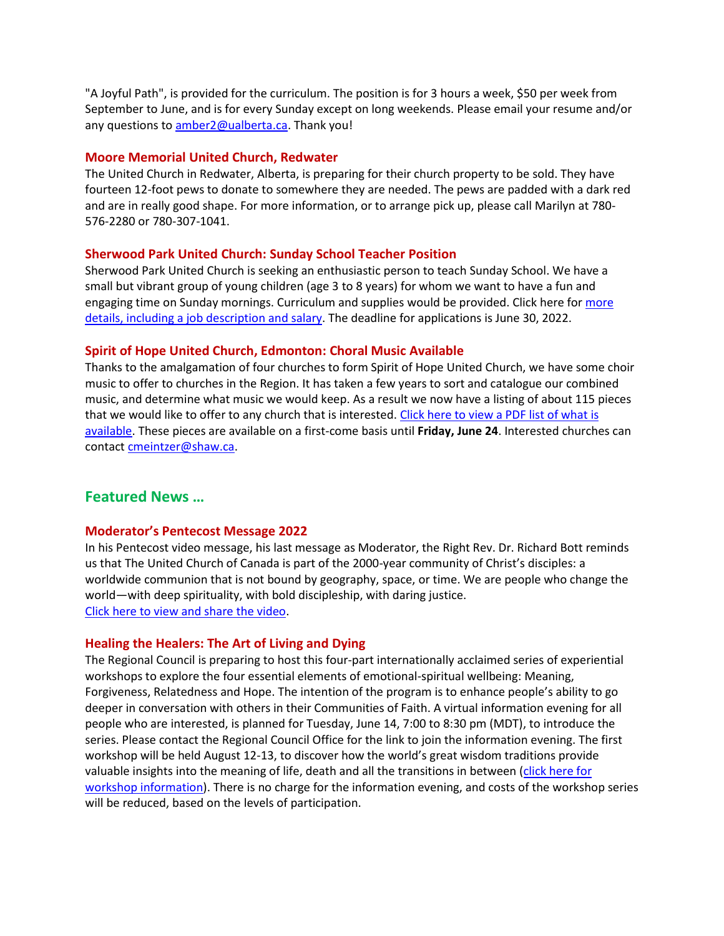"A Joyful Path", is provided for the curriculum. The position is for 3 hours a week, \$50 per week from September to June, and is for every Sunday except on long weekends. Please email your resume and/or any questions to [amber2@ualberta.ca.](mailto:amber2@ualberta.ca) Thank you!

#### **Moore Memorial United Church, Redwater**

The United Church in Redwater, Alberta, is preparing for their church property to be sold. They have fourteen 12-foot pews to donate to somewhere they are needed. The pews are padded with a dark red and are in really good shape. For more information, or to arrange pick up, please call Marilyn at 780- 576-2280 or 780-307-1041.

## **Sherwood Park United Church: Sunday School Teacher Position**

Sherwood Park United Church is seeking an enthusiastic person to teach Sunday School. We have a small but vibrant group of young children (age 3 to 8 years) for whom we want to have a fun and engaging time on Sunday mornings. Curriculum and supplies would be provided. Click here for more [details, including a job description and salary.](https://online.fliphtml5.com/gbljg/loqu/) The deadline for applications is June 30, 2022.

## **Spirit of Hope United Church, Edmonton: Choral Music Available**

Thanks to the amalgamation of four churches to form Spirit of Hope United Church, we have some choir music to offer to churches in the Region. It has taken a few years to sort and catalogue our combined music, and determine what music we would keep. As a result we now have a listing of about 115 pieces that we would like to offer to any church that is interested. Click here to view a PDF list of what is [available.](https://northernspiritrc.ca/wp-content/uploads/2022/05/Music-to-offer-the-Region.pdf) These pieces are available on a first-come basis until **Friday, June 24**. Interested churches can contact [cmeintzer@shaw.ca.](mailto:cmeintzer@shaw.ca)

## **Featured News …**

#### **Moderator's Pentecost Message 2022**

In his Pentecost video message, his last message as Moderator, the Right Rev. Dr. Richard Bott reminds us that The United Church of Canada is part of the 2000-year community of Christ's disciples: a worldwide communion that is not bound by geography, space, or time. We are people who change the world—with deep spirituality, with bold discipleship, with daring justice. [Click here to view and share the video.](https://united-church.ca/news/moderators-pentecost-message-2022)

#### **Healing the Healers: The Art of Living and Dying**

The Regional Council is preparing to host this four-part internationally acclaimed series of experiential workshops to explore the four essential elements of emotional-spiritual wellbeing: Meaning, Forgiveness, Relatedness and Hope. The intention of the program is to enhance people's ability to go deeper in conversation with others in their Communities of Faith. A virtual information evening for all people who are interested, is planned for Tuesday, June 14, 7:00 to 8:30 pm (MDT), to introduce the series. Please contact the Regional Council Office for the link to join the information evening. The first workshop will be held August 12-13, to discover how the world's great wisdom traditions provide valuable insights into the meaning of life, death and all the transitions in between (click here for [workshop information\)](https://northernspiritrc.ca/wp-content/uploads/2022/05/ALD-Intro.pdf). There is no charge for the information evening, and costs of the workshop series will be reduced, based on the levels of participation.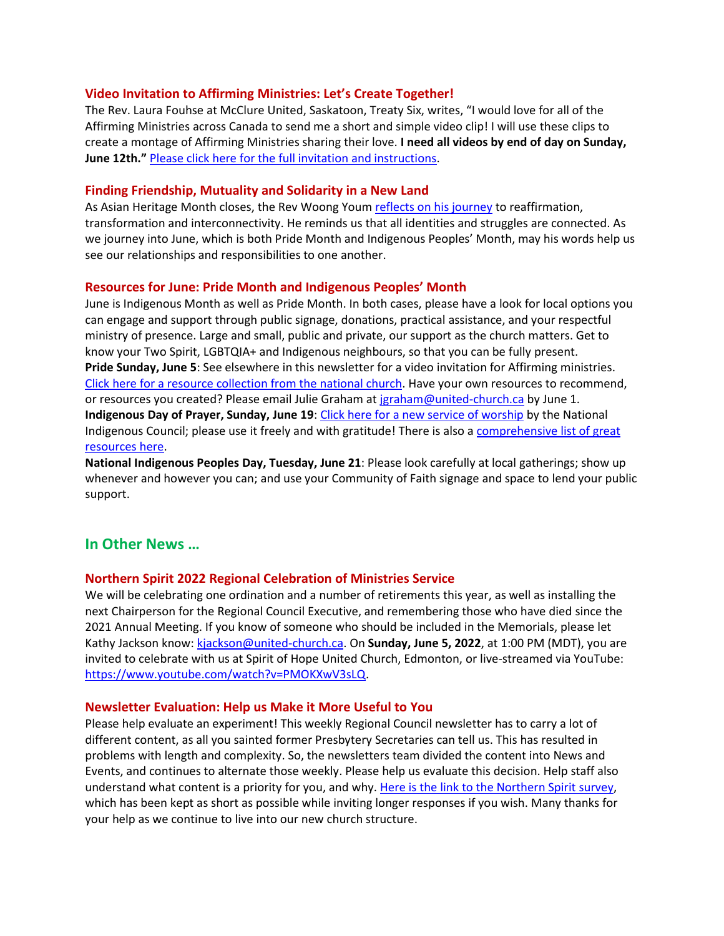## **Video Invitation to Affirming Ministries: Let's Create Together!**

The Rev. Laura Fouhse at McClure United, Saskatoon, Treaty Six, writes, "I would love for all of the Affirming Ministries across Canada to send me a short and simple video clip! I will use these clips to create a montage of Affirming Ministries sharing their love. **I need all videos by end of day on Sunday, June 12th."** [Please click here for the full invitation and instructions.](https://northernspiritrc.ca/video-invitation-to-affirming-ministries-lets-create-together/)

#### **Finding Friendship, Mutuality and Solidarity in a New Land**

As Asian Heritage Month closes, the Rev Woong Youm [reflects on his journey](https://unitedchurch-my.sharepoint.com/personal/jgraham_united-church_ca/Documents/Newsletters/Northern%20Spirit%20weekly%20newsletter/.%20https:/united-church.ca/blogs/round-table/finding-friendship-mutuality-and-solidarity-new-land) to reaffirmation, transformation and interconnectivity. He reminds us that all identities and struggles are connected. As we journey into June, which is both Pride Month and Indigenous Peoples' Month, may his words help us see our relationships and responsibilities to one another.

## **Resources for June: Pride Month and Indigenous Peoples' Month**

June is Indigenous Month as well as Pride Month. In both cases, please have a look for local options you can engage and support through public signage, donations, practical assistance, and your respectful ministry of presence. Large and small, public and private, our support as the church matters. Get to know your Two Spirit, LGBTQIA+ and Indigenous neighbours, so that you can be fully present. **Pride Sunday, June 5**: See elsewhere in this newsletter for a video invitation for Affirming ministries. [Click here for a resource collection from the national church.](https://united-church.ca/worship-special-days/pride-sunday) Have your own resources to recommend, or resources you created? Please email Julie Graham at [jgraham@united-church.ca](mailto:jgraham@united-church.ca) by June 1. **Indigenous Day of Prayer, Sunday, June 19**: [Click here for a new service of worship](https://united-church.ca/sites/default/files/2022-05/2022_all-my-relations_Indigenous-service.pdf) by the National Indigenous Council; please use it freely and with gratitude! There is also a [comprehensive list of great](https://united-church.ca/worship-special-days/indigenous-day-prayer)  [resources here.](https://united-church.ca/worship-special-days/indigenous-day-prayer)

**National Indigenous Peoples Day, Tuesday, June 21**: Please look carefully at local gatherings; show up whenever and however you can; and use your Community of Faith signage and space to lend your public support.

## **In Other News …**

## **Northern Spirit 2022 Regional Celebration of Ministries Service**

We will be celebrating one ordination and a number of retirements this year, as well as installing the next Chairperson for the Regional Council Executive, and remembering those who have died since the 2021 Annual Meeting. If you know of someone who should be included in the Memorials, please let Kathy Jackson know[: kjackson@united-church.ca.](mailto:kjackson@united-church.ca) On **Sunday, June 5, 2022**, at 1:00 PM (MDT), you are invited to celebrate with us at Spirit of Hope United Church, Edmonton, or live-streamed via YouTube: [https://www.youtube.com/watch?v=PMOKXwV3sLQ.](https://www.youtube.com/watch?v=PMOKXwV3sLQ)

#### **Newsletter Evaluation: Help us Make it More Useful to You**

Please help evaluate an experiment! This weekly Regional Council newsletter has to carry a lot of different content, as all you sainted former Presbytery Secretaries can tell us. This has resulted in problems with length and complexity. So, the newsletters team divided the content into News and Events, and continues to alternate those weekly. Please help us evaluate this decision. Help staff also understand what content is a priority for you, and why. [Here is the link to the Northern Spirit survey,](https://form.jotform.com/221357020605040) which has been kept as short as possible while inviting longer responses if you wish. Many thanks for your help as we continue to live into our new church structure.